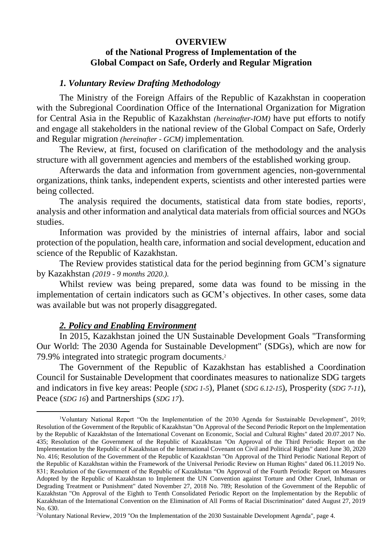### **OVERVIEW**

## **of the National Progress of Implementation of the Global Compact on Safe, Orderly and Regular Migration**

### *1. Voluntary Review Drafting Methodology*

The Ministry of the Foreign Affairs of the Republic of Kazakhstan in cooperation with the Subregional Coordination Office of the International Organization for Migration for Central Asia in the Republic of Kazakhstan *(hereinafter-IOM)* have put efforts to notify and engage all stakeholders in the national review of the Global Compact on Safe, Orderly and Regular migration *(hereinafter - GCM)* implementation*.*

The Review, at first, focused on clarification of the methodology and the analysis structure with all government agencies and members of the established working group.

Afterwards the data and information from government agencies, non-governmental organizations, think tanks, independent experts, scientists and other interested parties were being collected.

The analysis required the documents, statistical data from state bodies, reports<sup>1</sup>, analysis and other information and analytical data materials from official sources and NGOs studies.

Information was provided by the ministries of internal affairs, labor and social protection of the population, health care, information and social development, education and science of the Republic of Kazakhstan.

The Review provides statistical data for the period beginning from GCM's signature by Kazakhstan *(2019 - 9 months 2020.).*

Whilst review was being prepared, some data was found to be missing in the implementation of certain indicators such as GCM's objectives. In other cases, some data was available but was not properly disaggregated.

#### *2. Policy and Enabling Environment*

In 2015, Kazakhstan joined the UN Sustainable Development Goals "Transforming Our World: The 2030 Agenda for Sustainable Development" (SDGs), which are now for 79.9% integrated into strategic program documents.<sup>2</sup>

The Government of the Republic of Kazakhstan has established a Coordination Council for Sustainable Development that coordinates measures to nationalize SDG targets and indicators in five key areas: People (*SDG 1-5*), Planet (*SDG 6.12-15*), Prosperity (*SDG 7-11*), Peace (*SDG 16*) and Partnerships (*SDG 17*).

<sup>1</sup>Voluntary National Report "On the Implementation of the 2030 Agenda for Sustainable Development", 2019; Resolution of the Government of the Republic of Kazakhstan "On Approval of the Second Periodic Report on the Implementation by the Republic of Kazakhstan of the International Covenant on Economic, Social and Cultural Rights" dated 20.07.2017 No. 435; Resolution of the Government of the Republic of Kazakhstan "On Approval of the Third Periodic Report on the Implementation by the Republic of Kazakhstan of the International Covenant on Civil and Political Rights" dated June 30, 2020 No. 416; Resolution of the Government of the Republic of Kazakhstan "On Approval of the Third Periodic National Report of the Republic of Kazakhstan within the Framework of the Universal Periodic Review on Human Rights" dated 06.11.2019 No. 831; Resolution of the Government of the Republic of Kazakhstan "On Approval of the Fourth Periodic Report on Measures Adopted by the Republic of Kazakhstan to Implement the UN Convention against Torture and Other Cruel, Inhuman or Degrading Treatment or Punishment" dated November 27, 2018 No. 789; Resolution of the Government of the Republic of Kazakhstan "On Approval of the Eighth to Tenth Consolidated Periodic Report on the Implementation by the Republic of Kazakhstan of the International Convention on the Elimination of All Forms of Racial Discrimination" dated August 27, 2019 No. 630.

<sup>2</sup>Voluntary National Review, 2019 "On the Implementation of the 2030 Sustainable Development Agenda", page 4.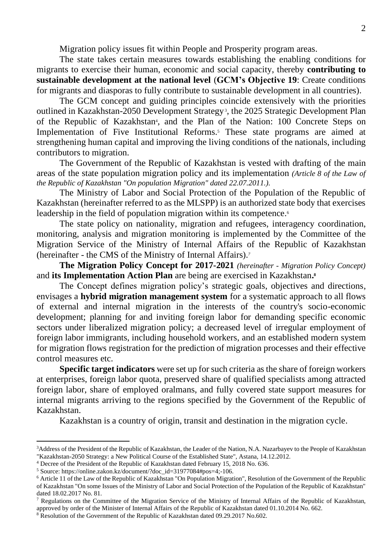Migration policy issues fit within People and Prosperity program areas.

The state takes certain measures towards establishing the enabling conditions for migrants to exercise their human, economic and social capacity, thereby **contributing to sustainable development at the national level** (**GCM's Objective 19**: Create conditions for migrants and diasporas to fully contribute to sustainable development in all countries).

The GCM concept and guiding principles coincide extensively with the priorities outlined in Kazakhstan-2050 Development Strategy<sup>3</sup>, the 2025 Strategic Development Plan of the Republic of Kazakhstan<sup>4</sup>, and the Plan of the Nation: 100 Concrete Steps on Implementation of Five Institutional Reforms.<sup>5</sup> These state programs are aimed at strengthening human capital and improving the living conditions of the nationals, including contributors to migration.

The Government of the Republic of Kazakhstan is vested with drafting of the main areas of the state population migration policy and its implementation *(Article 8 of the Law of the Republic of Kazakhstan "On population Migration" dated 22.07.2011.).*

The Ministry of Labor and Social Protection of the Population of the Republic of Kazakhstan (hereinafter referred to as the MLSPP) is an authorized state body that exercises leadership in the field of population migration within its competence.<sup>6</sup>

The state policy on nationality, migration and refugees, interagency coordination, monitoring, analysis and migration monitoring is implemented by the Committee of the Migration Service of the Ministry of Internal Affairs of the Republic of Kazakhstan (hereinafter - the CMS of the Ministry of Internal Affairs).*<sup>7</sup>*

**The Migration Policy Concept for 2017-2021** *(hereinafter - Migration Policy Concept)* and **its Implementation Action Plan** are being are exercised in Kazakhstan**. 8**

The Concept defines migration policy's strategic goals, objectives and directions, envisages a **hybrid migration management system** for a systematic approach to all flows of external and internal migration in the interests of the country's socio-economic development; planning for and inviting foreign labor for demanding specific economic sectors under liberalized migration policy; a decreased level of irregular employment of foreign labor immigrants, including household workers, and an established modern system for migration flows registration for the prediction of migration processes and their effective control measures etc.

**Specific target indicators** were set up for such criteria as the share of foreign workers at enterprises, foreign labor quota, preserved share of qualified specialists among attracted foreign labor, share of employed oralmans, and fully covered state support measures for internal migrants arriving to the regions specified by the Government of the Republic of Kazakhstan.

Kazakhstan is a country of origin, transit and destination in the migration cycle.

<sup>&</sup>lt;sup>3</sup>Address of the President of the Republic of Kazakhstan, the Leader of the Nation, N.A. Nazarbayev to the People of Kazakhstan "Kazakhstan-2050 Strategy: a New Political Course of the Established State", Astana, 14.12.2012.

<sup>4</sup> Decree of the President of the Republic of Kazakhstan dated February 15, 2018 No. 636.

<sup>5</sup> Source: https://online.zakon.kz/document/?doc\_id=31977084#pos=4;-106.

<sup>6</sup> Article 11 of the Law of the Republic of Kazakhstan "On Population Migration", Resolution of the Government of the Republic of Kazakhstan "On some Issues of the Ministry of Labor and Social Protection of the Population of the Republic of Kazakhstan" dated 18.02.2017 No. 81.

<sup>&</sup>lt;sup>7</sup> Regulations on the Committee of the Migration Service of the Ministry of Internal Affairs of the Republic of Kazakhstan, approved by order of the Minister of Internal Affairs of the Republic of Kazakhstan dated 01.10.2014 No. 662.

<sup>8</sup> Resolution of the Government of the Republic of Kazakhstan dated 09.29.2017 No.602.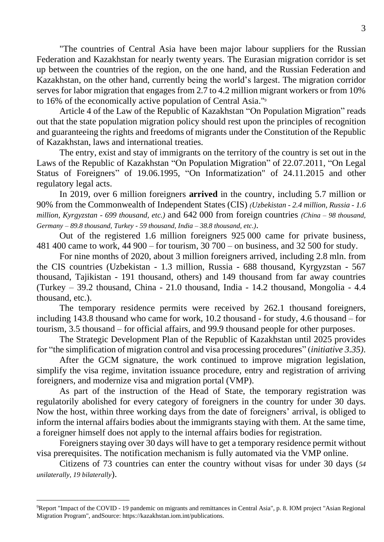"The countries of Central Asia have been major labour suppliers for the Russian Federation and Kazakhstan for nearly twenty years. The Eurasian migration corridor is set up between the countries of the region, on the one hand, and the Russian Federation and Kazakhstan, on the other hand, currently being the world's largest. The migration corridor serves for labor migration that engages from 2.7 to 4.2 million migrant workers or from 10% to 16% of the economically active population of Central Asia."<sup>9</sup>

Article 4 of the Law of the Republic of Kazakhstan "On Population Migration" reads out that the state population migration policy should rest upon the principles of recognition and guaranteeing the rights and freedoms of migrants under [the Constitution](https://online.zakon.kz/document/?doc_id=1005029) of the Republic of Kazakhstan, laws and international treaties.

[The entry, exist and stay of immigrants](https://online.zakon.kz/document/?doc_id=31120838) on the territory of the country is set out in the Laws of the Republic of Kazakhstan "On Population Migration" of 22.07.2011, "On Legal Status of Foreigners" of 19.06.1995, "On Informatization" of 24.11.2015 and other regulatory legal acts.

In 2019, over 6 million foreigners **arrived** in the country, including 5.7 million or 90% from the Commonwealth of Independent States (CIS) *(Uzbekistan - 2.4 million, Russia - 1.6 million, Kyrgyzstan - 699 thousand, etc.)* and 642 000 from foreign countries *(China – 98 thousand, Germany – 89.8 thousand, Turkey - 59 thousand, India – 38.8 thousand, etc.)*.

Out of the registered 1.6 million foreigners 925 000 came for private business, 481 400 came to work, 44 900 – for tourism, 30 700 – on business, and 32 500 for study.

For nine months of 2020, about 3 million foreigners arrived, including 2.8 mln. from the CIS countries (Uzbekistan - 1.3 million, Russia - 688 thousand, Kyrgyzstan - 567 thousand, Tajikistan - 191 thousand, others) and 149 thousand from far away countries (Turkey – 39.2 thousand, China - 21.0 thousand, India - 14.2 thousand, Mongolia - 4.4 thousand, etc.).

The temporary residence permits were received by 262.1 thousand foreigners, including 143.8 thousand who came for work, 10.2 thousand - for study, 4.6 thousand – for tourism, 3.5 thousand – for official affairs, and 99.9 thousand people for other purposes.

The Strategic Development Plan of the Republic of Kazakhstan until 2025 provides for "the simplification of migration control and visa processing procedures" (*initiative 3.35)*.

After the GCM signature, the work continued to improve migration legislation, simplify the visa regime, invitation issuance procedure, entry and registration of arriving foreigners, and modernize visa and migration portal (VMP).

As part of the instruction of the Head of State, the temporary registration was regulatorily abolished for every category of foreigners in the country for under 30 days. Now the host, within three working days from the date of foreigners' arrival, is obliged to inform the internal affairs bodies about the immigrants staying with them. At the same time, a foreigner himself does not apply to the internal affairs bodies for registration.

Foreigners staying over 30 days will have to get a temporary residence permit without visa prerequisites. The notification mechanism is fully automated via the VMP online.

Citizens of 73 countries can enter the country without visas for under 30 days (*54 unilaterally, 19 bilaterally*).

<sup>&</sup>lt;sup>9</sup>Report "Impact of the COVID - 19 pandemic on migrants and remittances in Central Asia", p. 8. IOM project "Asian Regional Migration Program", andSource: https://kazakhstan.iom.int/publications.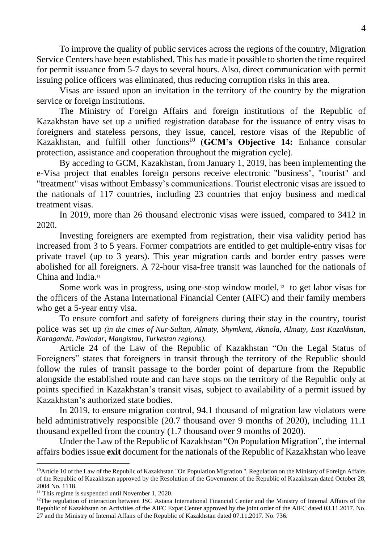To improve the quality of public services across the regions of the country, Migration Service Centers have been established. This has made it possible to shorten the time required for permit issuance from 5-7 days to several hours. Also, direct communication with permit issuing police officers was eliminated, thus reducing corruption risks in this area.

Visas are issued upon an invitation in the territory of the country by the migration service or foreign institutions.

The Ministry of Foreign Affairs and foreign institutions of the Republic of Kazakhstan have set up a unified registration database for the issuance of entry visas to foreigners and stateless persons, they issue, cancel, restore visas of the Republic of Kazakhstan, and fulfill other functions<sup>10</sup> (**GCM's Objective 14:** Enhance consular protection, assistance and cooperation throughout the migration cycle).

By acceding to GCM, Kazakhstan, from January 1, 2019, has been implementing the e-Visa project that enables foreign persons receive electronic "business", "tourist" and "treatment" visas without Embassy's communications. Tourist electronic visas are issued to the nationals of 117 countries, including 23 countries that enjoy business and medical treatment visas.

In 2019, more than 26 thousand electronic visas were issued, compared to 3412 in 2020.

Investing foreigners are exempted from registration, their visa validity period has increased from 3 to 5 years. Former compatriots are entitled to get multiple-entry visas for private travel (up to 3 years). This year migration cards and border entry passes were abolished for all foreigners. A 72-hour visa-free transit was launched for the nationals of China and India.<sup>11</sup>

Some work was in progress, using one-stop window model, <sup>12</sup> to get labor visas for the officers of the Astana International Financial Center (AIFC) and their family members who get a 5-year entry visa.

To ensure comfort and safety of foreigners during their stay in the country, tourist police was set up *(in the cities of Nur-Sultan, Almaty, Shymkent, Akmola, Almaty, East Kazakhstan, Karaganda, Pavlodar, Mangistau, Turkestan regions).*

Article 24 of the Law of the Republic of Kazakhstan "On the Legal Status of Foreigners" states that foreigners in transit through the territory of the Republic should follow the rules of transit passage to the border point of departure from the Republic alongside the established route and can have stops on the territory of the Republic only at points specified in Kazakhstan's [transit visas,](https://online.zakon.kz/document/?doc_id=39387873) subject to availability of a permit issued by Kazakhstan's [authorized state bodies.](https://online.zakon.kz/document/?doc_id=31120838#sub_id=1600)

In 2019, to ensure migration control, 94.1 thousand of migration law violators were held administratively responsible (20.7 thousand over 9 months of 2020), including 11.1 thousand expelled from the country (1.7 thousand over 9 months of 2020).

Under the Law of the Republic of Kazakhstan "On Population Migration", the internal affairs bodies issue **exit** document for the nationals of the Republic of Kazakhstan who leave

<sup>&</sup>lt;sup>10</sup>Article 10 of the Law of the Republic of Kazakhstan "On Population Migration ", Regulation on the Ministry of Foreign Affairs of the Republic of Kazakhstan approved by the Resolution of the Government of the Republic of Kazakhstan dated October 28, 2004 No. 1118.

<sup>&</sup>lt;sup>11</sup> This regime is suspended until November 1, 2020.

<sup>&</sup>lt;sup>12</sup>The regulation of interaction between JSC Astana International Financial Center and the Ministry of Internal Affairs of the Republic of Kazakhstan on Activities of the AIFC Expat Center approved by the joint order of the AIFC dated 03.11.2017. No. 27 and the Ministry of Internal Affairs of the Republic of Kazakhstan dated 07.11.2017. No. 736.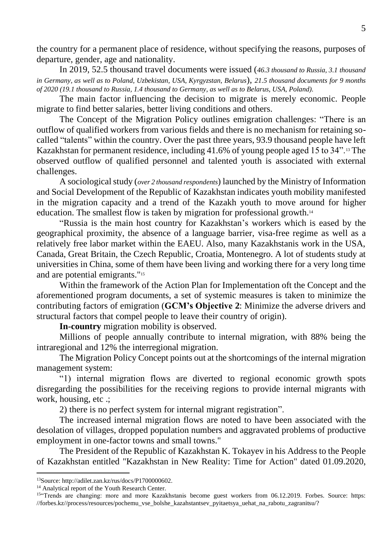the country for a permanent place of residence, without specifying the reasons, purposes of departure, gender, age and nationality.

In 2019, 52.5 thousand travel documents were issued (*46.3 thousand to Russia, 3.1 thousand in Germany, as well as to Poland, Uzbekistan, USA, Kyrgyzstan, Belarus*), *21.5 thousand documents for 9 months of 2020 (19.1 thousand to Russia, 1.4 thousand to Germany, as well as to Belarus, USA, Poland).*

The main factor influencing the decision to migrate is merely economic. People migrate to find better salaries, better living conditions and others.

The Concept of the Migration Policy outlines emigration challenges: "There is an outflow of qualified workers from various fields and there is no mechanism for retaining socalled "talents" within the country. Over the past three years, 93.9 thousand people have left Kazakhstan for permanent residence, including 41.6% of young people aged 15 to 34".<sup>13</sup> The observed outflow of qualified personnel and talented youth is associated with external challenges.

A sociological study (*over 2 thousand respondents*) launched by the Ministry of Information and Social Development of the Republic of Kazakhstan indicates youth mobility manifested in the migration capacity and a trend of the Kazakh youth to move around for higher education. The smallest flow is taken by migration for professional growth.<sup>14</sup>

"Russia is the main host country for Kazakhstan's workers which is eased by the geographical proximity, the absence of a language barrier, visa-free regime as well as a relatively free labor market within the EAEU. Also, many Kazakhstanis work in the USA, Canada, Great Britain, the Czech Republic, Croatia, Montenegro. A lot of students study at universities in China, some of them have been living and working there for a very long time and are potential emigrants."<sup>15</sup>

Within the framework of the Action Plan for Implementation oft the Concept and the aforementioned program documents, a set of systemic measures is taken to minimize the contributing factors of emigration (**GCM's Objective 2**: Minimize the adverse drivers and structural factors that compel people to leave their country of origin).

**In-country** migration mobility is observed.

Millions of people annually contribute to internal migration, with 88% being the intraregional and 12% the interregional migration.

The Migration Policy Concept points out at the shortcomings of the internal migration management system:

"1) internal migration flows are diverted to regional economic growth spots disregarding the possibilities for the receiving regions to provide internal migrants with work, housing, etc .;

2) there is no perfect system for internal migrant registration".

The increased internal migration flows are noted to have been associated with the desolation of villages, dropped population numbers and aggravated problems of productive employment in one-factor towns and small towns."

The President of the Republic of Kazakhstan K. Tokayev in his Address to the People of Kazakhstan entitled "Kazakhstan in New Reality: Time for Action" dated 01.09.2020,

<sup>13</sup>Source: http://adilet.zan.kz/rus/docs/P1700000602.

<sup>&</sup>lt;sup>14</sup> Analytical report of the Youth Research Center.

<sup>&</sup>lt;sup>15"</sup>Trends are changing: more and more Kazakhstanis become guest workers from 06.12.2019. Forbes. Source: https: //forbes.kz//process/resources/pochemu\_vse\_bolshe\_kazahstantsev\_pyitaetsya\_uehat\_na\_rabotu\_zagranitsu/?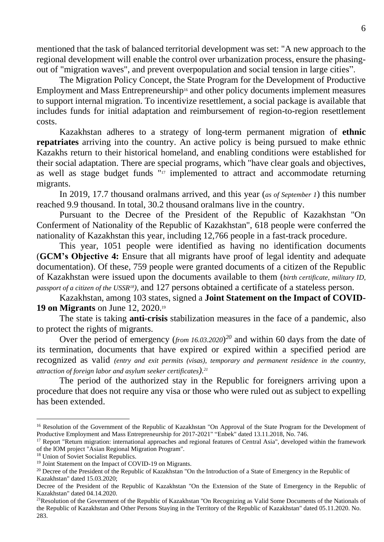mentioned that the task of balanced territorial development was set: "A new approach to the regional development will enable the control over urbanization process, ensure the phasingout of "migration waves", and prevent overpopulation and social tension in large cities".

The Migration Policy Concept, the State Program for the Development of Productive Employment and Mass Entrepreneurship<sup>16</sup> and other policy documents implement measures to support internal migration. To incentivize resettlement, a social package is available that includes funds for initial adaptation and reimbursement of region-to-region resettlement costs.

Kazakhstan adheres to a strategy of long-term permanent migration of **ethnic repatriates** arriving into the country. An active policy is being pursued to make ethnic Kazakhs return to their historical homeland, and enabling conditions were established for their social adaptation. There are special programs, which "have clear goals and objectives, as well as stage budget funds " <sup>17</sup> implemented to attract and accommodate returning migrants.

In 2019, 17.7 thousand oralmans arrived, and this year (*as of September 1*) this number reached 9.9 thousand. In total, 30.2 thousand oralmans live in the country.

Pursuant to the Decree of the President of the Republic of Kazakhstan "On Conferment of Nationality of the Republic of Kazakhstan", 618 people were conferred the nationality of Kazakhstan this year, including 12,766 people in a fast-track procedure.

This year, 1051 people were identified as having no identification documents (**GCM's Objective 4:** Ensure that all migrants have proof of legal identity and adequate documentation). Of these, 759 people were granted documents of a citizen of the Republic of Kazakhstan were issued upon the documents available to them (*birth certificate, military ID, passport of a citizen of the USSR18),* and 127 persons obtained a certificate of a stateless person.

Kazakhstan, among 103 states, signed a **Joint Statement on the Impact of COVID-19 on Migrants** on June 12, 2020.<sup>19</sup>

The state is taking **anti-crisis** stabilization measures in the face of a pandemic, also to protect the rights of migrants.

Over the period of emergency (*from 16.03.2020*) *<sup>20</sup>* and within 60 days from the date of its termination, documents that have expired or expired within a specified period are recognized as valid *(entry and exit permits (visas), temporary and permanent residence in the country, attraction of foreign labor and asylum seeker certificates). 21*

The period of the authorized stay in the Republic for foreigners arriving upon a procedure that does not require any visa or those who were ruled out as subject to expelling has been extended.

<sup>&</sup>lt;sup>16</sup> Resolution of the Government of the Republic of Kazakhstan "On Approval of the State Program for the Development of Productive Employment and Mass Entrepreneurship for 2017-2021" "Enbek" dated 13.11.2018, No. 746.

<sup>&</sup>lt;sup>17</sup> Report "Return migration: international approaches and regional features of Central Asia", developed within the framework of the IOM project "Asian Regional Migration Program".

<sup>&</sup>lt;sup>18</sup> Union of Soviet Socialist Republics.

<sup>&</sup>lt;sup>19</sup> Joint Statement on the Impact of COVID-19 on Migrants.

<sup>&</sup>lt;sup>20</sup> Decree of the President of the Republic of Kazakhstan "On the Introduction of a State of Emergency in the Republic of Kazakhstan" dated 15.03.2020;

Decree of the President of the Republic of Kazakhstan "On the Extension of the State of Emergency in the Republic of Kazakhstan" dated 04.14.2020.

<sup>&</sup>lt;sup>21</sup>Resolution of the Government of the Republic of Kazakhstan "On Recognizing as Valid Some Documents of the Nationals of the Republic of Kazakhstan and Other Persons Staying in the Territory of the Republic of Kazakhstan" dated 05.11.2020. No. 283.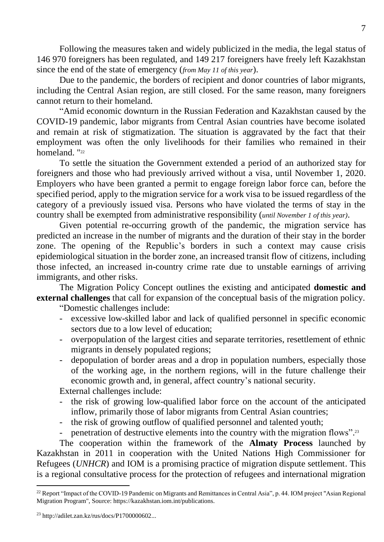Following the measures taken and widely publicized in the media, the legal status of 146 970 foreigners has been regulated, and 149 217 foreigners have freely left Kazakhstan since the end of the state of emergency (*from May 11 of this year*).

Due to the pandemic, the borders of recipient and donor countries of labor migrants, including the Central Asian region, are still closed. For the same reason, many foreigners cannot return to their homeland.

"Amid economic downturn in the Russian Federation and Kazakhstan caused by the COVID-19 pandemic, labor migrants from Central Asian countries have become isolated and remain at risk of stigmatization. The situation is aggravated by the fact that their employment was often the only livelihoods for their families who remained in their homeland. "22

To settle the situation the Government extended a period of an authorized stay for foreigners and those who had previously arrived without a visa, until November 1, 2020. Employers who have been granted a permit to engage foreign labor force can, before the specified period, apply to the migration service for a work visa to be issued regardless of the category of a previously issued visa. Persons who have violated the terms of stay in the country shall be exempted from administrative responsibility (*until November 1 of this year)*.

Given potential re-occurring growth of the pandemic, the migration service has predicted an increase in the number of migrants and the duration of their stay in the border zone. The opening of the Republic's borders in such a context may cause crisis epidemiological situation in the border zone, an increased transit flow of citizens, including those infected, an increased in-country crime rate due to unstable earnings of arriving immigrants, and other risks.

The Migration Policy Concept outlines the existing and anticipated **domestic and external challenges** that call for expansion of the conceptual basis of the migration policy.

"Domestic challenges include:

- excessive low-skilled labor and lack of qualified personnel in specific economic sectors due to a low level of education;
- overpopulation of the largest cities and separate territories, resettlement of ethnic migrants in densely populated regions;
- depopulation of border areas and a drop in population numbers, especially those of the working age, in the northern regions, will in the future challenge their economic growth and, in general, affect country's national security.

External challenges include:

- the risk of growing low-qualified labor force on the account of the anticipated inflow, primarily those of labor migrants from Central Asian countries;
- the risk of growing outflow of qualified personnel and talented youth;
- penetration of destructive elements into the country with the migration flows".<sup>23</sup>

The cooperation within the framework of the **Almaty Process** launched by Kazakhstan in 2011 in cooperation with the United Nations High Commissioner for Refugees (*UNHCR*) and IOM is a promising practice of migration dispute settlement. This is a regional consultative process for the protection of refugees and international migration

<sup>&</sup>lt;sup>22</sup> Report "Impact of the COVID-19 Pandemic on Migrants and Remittances in Central Asia", p. 44. IOM project "Asian Regional Migration Program", Source: https://kazakhstan.iom.int/publications.

<sup>23</sup> http://adilet.zan.kz/rus/docs/P1700000602...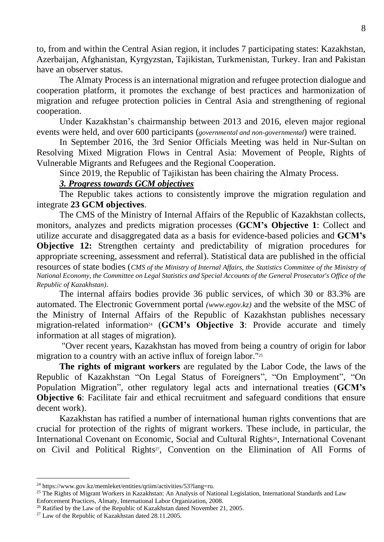to, from and within the Central Asian region, it includes 7 participating states: Kazakhstan, Azerbaijan, Afghanistan, Kyrgyzstan, Tajikistan, Turkmenistan, Turkey. Iran and Pakistan have an observer status.

The Almaty Process is an international migration and refugee protection dialogue and cooperation platform, it promotes the exchange of best practices and harmonization of migration and refugee protection policies in Central Asia and strengthening of regional cooperation.

Under Kazakhstan's chairmanship between 2013 and 2016, eleven major regional events were held, and over 600 participants (*governmental and non-governmental*) were trained.

In September 2016, the 3rd Senior Officials Meeting was held in Nur-Sultan on Resolving Mixed Migration Flows in Central Asia: Movement of People, Rights of Vulnerable Migrants and Refugees and the Regional Cooperation.

Since 2019, the Republic of Tajikistan has been chairing the Almaty Process.

### *3. Progress towards GCM objectives*

The Republic takes actions to consistently improve the migration regulation and integrate **23 GCM objectives**.

The CMS of the Ministry of Internal Affairs of the Republic of Kazakhstan collects, monitors, analyzes and predicts migration processes (**GCM's Objective 1**: Collect and utilize accurate and disaggregated data as a basis for evidence-based policies and **GCM's Objective 12:** Strengthen certainty and predictability of migration procedures for appropriate screening, assessment and referral). Statistical data are published in the official resources of state bodies (*CMS of the Ministry of Internal Affairs, the Statistics Committee of the Ministry of National Economy, the Committee on Legal Statistics and Special Accounts of the General Prosecutor's Office of the Republic of Kazakhstan)*.

The internal affairs bodies provide 36 public services, of which 30 or 83.3% are automated. The Electronic Government portal *[\(www.egov.kz\)](http://www.egov.kz/)* and the website of the MSC of the Ministry of Internal Affairs of the Republic of Kazakhstan publishes necessary migration-related information<sup>24</sup> (GCM's Objective 3: Provide accurate and timely information at all stages of migration).

"Over recent years, Kazakhstan has moved from being a country of origin for labor migration to a country with an active influx of foreign labor."<sup>25</sup>

**The rights of migrant workers** are regulated by the Labor Code, the laws of the Republic of Kazakhstan "On Legal Status of Foreigners", "On Employment", "On Population Migration", other regulatory legal acts and international treaties (**GCM's Objective 6**: Facilitate fair and ethical recruitment and safeguard conditions that ensure decent work).

Kazakhstan has ratified a number of international human rights conventions that are crucial for protection of the rights of migrant workers. These include, in particular, the International Covenant on Economic, Social and Cultural Rights<sup>26</sup>, International Covenant on Civil and Political Rights <sup>27</sup>, Convention on the Elimination of All Forms of

<sup>24</sup> https://www.gov.kz/memleket/entities/qriim/activities/53?lang=ru.

<sup>&</sup>lt;sup>25</sup> The Rights of Migrant Workers in Kazakhstan: An Analysis of National Legislation, International Standards and Law Enforcement Practices, Almaty, International Labor Organization, 2008.

<sup>&</sup>lt;sup>26</sup> Ratified by the Law of the Republic of Kazakhstan dated November 21, 2005.

<sup>27</sup> Law of the Republic of Kazakhstan dated 28.11.2005.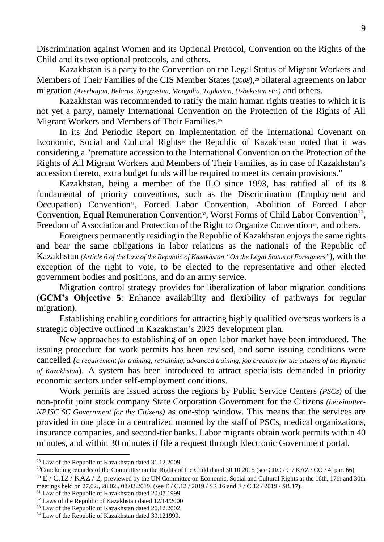Discrimination against Women and its Optional Protocol, Convention on the Rights of the Child and its two optional protocols, and others.

Kazakhstan is a party to the Convention on the Legal Status of Migrant Workers and Members of Their Families of the CIS Member States (*2008*),*<sup>28</sup>* bilateral agreements on labor migration *(Azerbaijan, Belarus, Kyrgyzstan, Mongolia, Tajikistan, Uzbekistan etc.)* and others.

Kazakhstan was recommended to ratify the main human rights treaties to which it is not yet a party, namely International Convention on the Protection of the Rights of All Migrant Workers and Members of Their Families.<sup>29</sup>

In its 2nd Periodic Report on Implementation of the International Covenant on Economic, Social and Cultural Rights<sup>30</sup> the Republic of Kazakhstan noted that it was considering a "premature accession to the International Convention on the Protection of the Rights of All Migrant Workers and Members of Their Families, as in case of Kazakhstan's accession thereto, extra budget funds will be required to meet its certain provisions."

Kazakhstan, being a member of the ILO since 1993, has ratified all of its 8 fundamental of priority conventions, such as the Discrimination (Employment and Occupation) Convention<sup>31</sup>, Forced Labor Convention, Abolition of Forced Labor Convention, Equal Remuneration Convention<sup>32</sup>, Worst Forms of Child Labor Convention<sup>33</sup>, Freedom of Association and Protection of the Right to Organize Convention<sup>34</sup>, and others.

Foreigners permanently residing in the Republic of Kazakhstan enjoys the same rights and bear the same obligations in labor relations as the nationals of the Republic of Kazakhstan *(Article 6 of the Law of the Republic of Kazakhstan "On the Legal Status of Foreigners"*), with the exception of the right to vote, to be elected to the representative and other elected government bodies and positions, and do an army service.

Migration control strategy provides for liberalization of labor migration conditions (**GCM's Objective 5**: Enhance availability and flexibility of pathways for regular migration).

Establishing enabling conditions for attracting highly qualified overseas workers is a strategic objective outlined in Kazakhstan's 2025 development plan.

New approaches to establishing of an open labor market have been introduced. The issuing procedure for work permits has been revised, and some issuing conditions were cancelled *(a requirement for training, retraining, advanced training, job creation for the citizens of the Republic of Kazakhstan*). A system has been introduced to attract specialists demanded in priority economic sectors under self-employment conditions.

Work permits are issued across the regions by Public Service Centers *(PSCs)* of the non-profit joint stock company State Corporation Government for the Citizens *(hereinafter-NPJSC SC Government for the Citizens)* as one-stop window. This means that the services are provided in one place in a centralized manned by the staff of PSCs, medical organizations, insurance companies, and second-tier banks. Labor migrants obtain work permits within 40 minutes, and within 30 minutes if file a request through Electronic Government portal.

<sup>28</sup> Law of the Republic of Kazakhstan dated 31.12.2009.

<sup>&</sup>lt;sup>29</sup>Concluding remarks of the Committee on the Rights of the Child dated 30.10.2015 (see CRC / C / KAZ / CO / 4, par. 66).

<sup>&</sup>lt;sup>30</sup> E / C.12 / KAZ / 2, previewed by the UN Committee on Economic, Social and Cultural Rights at the 16th, 17th and 30th meetings held on 27.02., 28.02., 08.03.2019. (see E / C.12 / 2019 / SR.16 and E / C.12 / 2019 / SR.17).

<sup>31</sup> Law of the Republic of Kazakhstan dated 20.07.1999.

<sup>32</sup> Laws of the Republic of Kazakhstan dated 12/14/2000

<sup>&</sup>lt;sup>33</sup> Law of the Republic of Kazakhstan dated 26.12.2002.

<sup>34</sup> Law of the Republic of Kazakhstan dated 30.121999.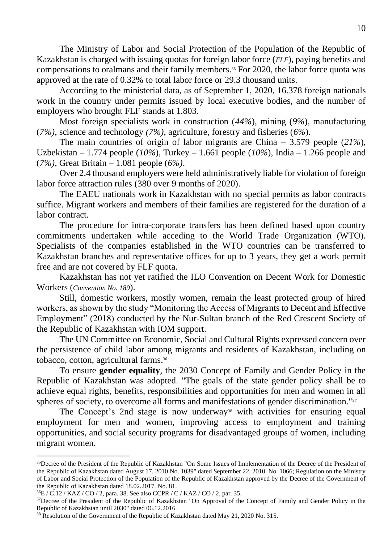The Ministry of Labor and Social Protection of the Population of the Republic of Kazakhstan is charged with issuing quotas for foreign labor force (*FLF*), paying benefits and compensations to oralmans and their family members.<sup>35</sup> For 2020, the labor force quota was approved at the rate of 0.32% to total labor force or 29.3 thousand units.

According to the ministerial data, as of September 1, 2020, 16.378 foreign nationals work in the country under permits issued by local executive bodies, and the number of employers who brought FLF stands at 1.803.

Most foreign specialists work in construction (*44%*), mining (*9%*), manufacturing (*7%)*, science and technology *(7%)*, agriculture, forestry and fisheries (*6%*).

The main countries of origin of labor migrants are China – 3.579 people (*21%*), Uzbekistan – 1.774 people (*10%*), Turkey – 1.661 people (*10%*), India – 1.266 people and (*7%)*, Great Britain – 1.081 people (*6%)*.

Over 2.4 thousand employers were held administratively liable for violation of foreign labor force attraction rules (380 over 9 months of 2020).

The EAEU nationals work in Kazakhstan with no special permits as labor contracts suffice. Migrant workers and members of their families are registered for the duration of a labor contract.

The procedure for intra-corporate transfers has been defined based upon country commitments undertaken while acceding to the World Trade Organization (WTO). Specialists of the companies established in the WTO countries can be transferred to Kazakhstan branches and representative offices for up to 3 years, they get a work permit free and are not covered by FLF quota.

Kazakhstan has not yet ratified the ILO Convention on Decent Work for Domestic Workers (*Convention No. 189*).

Still, domestic workers, mostly women, remain the least protected group of hired workers, as shown by the study "Monitoring the Access of Migrants to Decent and Effective Employment" (2018) conducted by the Nur-Sultan branch of the Red Crescent Society of the Republic of Kazakhstan with IOM support.

The UN Committee on Economic, Social and Cultural Rights expressed concern over the persistence of child labor among migrants and residents of Kazakhstan, including on tobacco, cotton, agricultural farms.<sup>36</sup>

To ensure **gender equality**, the 2030 Concept of Family and Gender Policy in the Republic of Kazakhstan was adopted. "The goals of the state gender policy shall be to achieve equal rights, benefits, responsibilities and opportunities for men and women in all spheres of society, to overcome all forms and manifestations of gender discrimination."<sup>37</sup>

The Concept's 2nd stage is now underway<sup>38</sup> with activities for ensuring equal employment for men and women, improving access to employment and training opportunities, and social security programs for disadvantaged groups of women, including migrant women.

<sup>&</sup>lt;sup>35</sup>Decree of the President of the Republic of Kazakhstan "On Some Issues of Implementation of the Decree of the President of the Republic of Kazakhstan dated August 17, 2010 No. 1039" dated September 22, 2010. No. 1066; Regulation on the Ministry of Labor and Social Protection of the Population of the Republic of Kazakhstan approved by the Decree of the Government of the Republic of Kazakhstan dated 18.02.2017. No. 81.

<sup>36</sup>E / C.12 / KAZ / CO / 2, para. 38. See also CCPR / C / KAZ / CO / 2, par. 35.

<sup>&</sup>lt;sup>37</sup>Decree of the President of the Republic of Kazakhstan "On Approval of the Concept of Family and Gender Policy in the Republic of Kazakhstan until 2030" dated 06.12.2016.

<sup>&</sup>lt;sup>38</sup> Resolution of the Government of the Republic of Kazakhstan dated May 21, 2020 No. 315.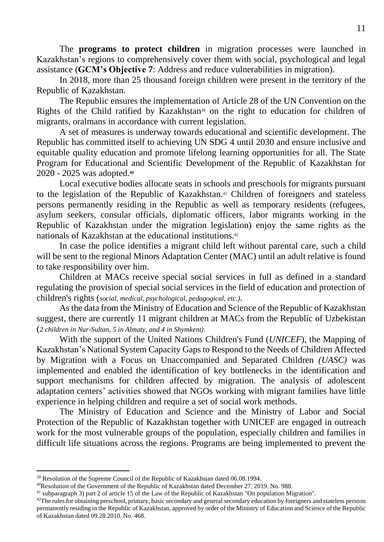The **programs to protect children** in migration processes were launched in Kazakhstan's regions to comprehensively cover them with social, psychological and legal assistance (**GCM's Objective 7**: Address and reduce vulnerabilities in migration).

In 2018, more than 25 thousand foreign children were present in the territory of the Republic of Kazakhstan.

The Republic ensures the implementation of Article 28 of the UN Convention on the Rights of the Child ratified by Kazakhstan<sup>39</sup> on the right to education for children of migrants, oralmans in accordance with current legislation.

A set of measures is underway towards educational and scientific development. The Republic has committed itself to achieving UN SDG 4 until 2030 and ensure inclusive and equitable quality education and promote lifelong learning opportunities for all. The State Program for Educational and Scientific Development of the Republic of Kazakhstan for 2020 - 2025 was adopted.**<sup>40</sup>**

Local executive bodies allocate seats in schools and preschools for migrants pursuant to the legislation of the Republic of Kazakhstan.<sup>41</sup> Children of foreigners and stateless persons permanently residing in the Republic as well as temporary residents (refugees, asylum seekers, consular officials, diplomatic officers, labor migrants working in the Republic of Kazakhstan under the migration legislation) enjoy the same rights as the nationals of Kazakhstan at the educational institutions. *42*

In case the police identifies a migrant child left without parental care, such a child will be sent to the regional Minors Adaptation Center (MAC) until an adult relative is found to take responsibility over him.

Children at MACs receive special social services in full as defined in a standard regulating the provision of special social services in the field of education and protection of children's rights (*social, medical, psychological, pedagogical, etc.)*.

As the data from the Ministry of Education and Science of the Republic of Kazakhstan suggest, there are currently 11 migrant children at MACs from the Republic of Uzbekistan (*2 children in Nur-Sultan, 5 in Almaty, and 4 in Shymkent).*

With the support of the United Nations Children's Fund (*UNICEF*), the Mapping of Kazakhstan's National System Capacity Gaps to Respond to the Needs of Children Affected by Migration with a Focus on Unaccompanied and Separated Children *(UASC)* was implemented and enabled the identification of key bottlenecks in the identification and support mechanisms for children affected by migration. The analysis of adolescent adaptation centers' activities showed that NGOs working with migrant families have little experience in helping children and require a set of social work methods.

The Ministry of Education and Science and the Ministry of Labor and Social Protection of the Republic of Kazakhstan together with UNICEF are engaged in outreach work for the most vulnerable groups of the population, especially children and families in difficult life situations across the regions. Programs are being implemented to prevent the

<sup>&</sup>lt;sup>39</sup> Resolution of the Supreme Council of the Republic of Kazakhstan dated 06.08.1994.

<sup>40</sup>Resolution of the Government of the Republic of Kazakhstan dated December 27, 2019. No. 988.

<sup>41</sup> subparagraph 3) part 2 of article 15 of the Law of the Republic of Kazakhstan "On population Migration".

<sup>&</sup>lt;sup>42</sup>The rules for obtaining preschool, primary, basic secondary and general secondary education by foreigners and stateless persons permanently residing in the Republic of Kazakhstan, approved by order of the Ministry of Education and Science of the Republic of Kazakhstan dated 09.28.2010. No. 468.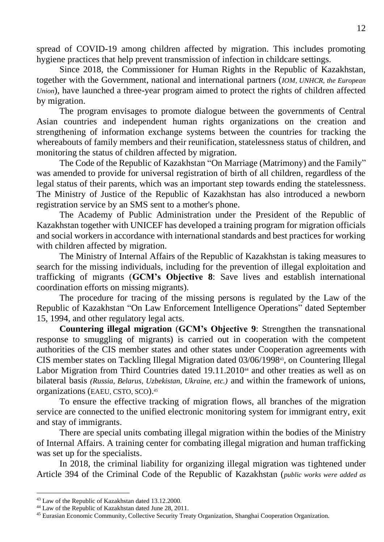spread of COVID-19 among children affected by migration. This includes promoting hygiene practices that help prevent transmission of infection in childcare settings.

Since 2018, the Commissioner for Human Rights in the Republic of Kazakhstan, together with the Government, national and international partners (*IOM, UNHCR, the European Union*), have launched a three-year program aimed to protect the rights of children affected by migration.

The program envisages to promote dialogue between the governments of Central Asian countries and independent human rights organizations on the creation and strengthening of information exchange systems between the countries for tracking the whereabouts of family members and their reunification, statelessness status of children, and monitoring the status of children affected by migration.

The Code of the Republic of Kazakhstan "On Marriage (Matrimony) and the Family" was amended to provide for universal registration of birth of all children, regardless of the legal status of their parents, which was an important step towards ending the statelessness. The Ministry of Justice of the Republic of Kazakhstan has also introduced a newborn registration service by an SMS sent to a mother's phone.

The Academy of Public Administration under the President of the Republic of Kazakhstan together with UNICEF has developed a training program for migration officials and social workers in accordance with international standards and best practices for working with children affected by migration.

The Ministry of Internal Affairs of the Republic of Kazakhstan is taking measures to search for the missing individuals, including for the prevention of illegal exploitation and trafficking of migrants (**GCM's Objective 8**: Save lives and establish international coordination efforts on missing migrants).

The procedure for tracing of the missing persons is regulated by the Law of the Republic of Kazakhstan "On Law Enforcement Intelligence Operations" dated September 15, 1994, and other regulatory legal acts.

**Countering illegal migration** (**GCM's Objective 9**: Strengthen the transnational response to smuggling of migrants) is carried out in cooperation with the competent authorities of the CIS member states and other states under Cooperation agreements with CIS member states on Tackling Illegal Migration dated 03/06/199843, on Countering Illegal Labor Migration from Third Countries dated 19.11.2010<sup>44</sup> and other treaties as well as on bilateral basis *(Russia, Belarus, Uzbekistan, Ukraine, etc.)* and within the framework of unions, organizations (EAEU, CSTO, SCO).*<sup>45</sup>*

To ensure the effective tracking of migration flows, all branches of the migration service are connected to the unified electronic monitoring system for immigrant entry, exit and stay of immigrants.

There are special units combating illegal migration within the bodies of the Ministry of Internal Affairs. A training center for combating illegal migration and human trafficking was set up for the specialists.

In 2018, the criminal liability for organizing illegal migration was tightened under Article 394 of the Criminal Code of the Republic of Kazakhstan (*public works were added as* 

<sup>43</sup> Law of the Republic of Kazakhstan dated 13.12.2000.

<sup>44</sup> Law of the Republic of Kazakhstan dated June 28, 2011.

<sup>45</sup> Eurasian Economic Community, Collective Security Treaty Organization, Shanghai Cooperation Organization.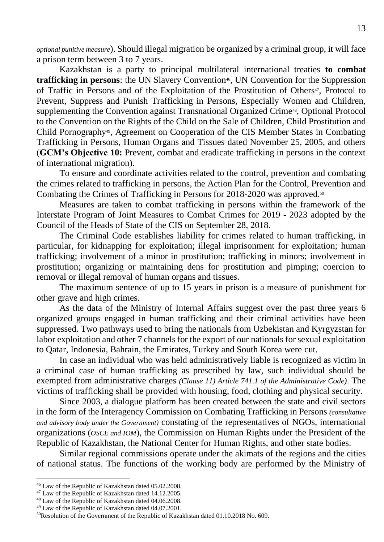*optional punitive measure*). Should illegal migration be organized by a criminal group, it will face a prison term between 3 to 7 years.

Kazakhstan is a party to principal multilateral international treaties **to combat**  trafficking in persons: the UN Slavery Convention<sup>46</sup>, UN Convention for the Suppression of Traffic in Persons and of the Exploitation of the Prostitution of Others<sup>47</sup>, Protocol to Prevent, Suppress and Punish Trafficking in Persons, Especially Women and Children, supplementing the Convention against Transnational Organized Crime<sup>48</sup>, Optional Protocol to the Convention on the Rights of the Child on the Sale of Children, Child Prostitution and Child Pornography49, Agreement on Cooperation of the CIS Member States in Combating Trafficking in Persons, Human Organs and Tissues dated November 25, 2005, and others (**GCM's Objective 10:** Prevent, combat and eradicate trafficking in persons in the context of international migration).

To ensure and coordinate activities related to the control, prevention and combating the crimes related to trafficking in persons, the Action Plan for the Control, Prevention and Combating the Crimes of Trafficking in Persons for 2018-2020 was approved.<sup>50</sup>

Measures are taken to combat trafficking in persons within the framework of the Interstate Program of Joint Measures to Combat Crimes for 2019 - 2023 adopted by the Council of the Heads of State of the CIS on September 28, 2018.

The Criminal Code establishes liability for crimes related to human trafficking, in particular, for kidnapping for exploitation; illegal imprisonment for exploitation; human trafficking; involvement of a minor in prostitution; trafficking in minors; involvement in prostitution; organizing or maintaining dens for prostitution and pimping; coercion to removal or illegal removal of human organs and tissues.

The maximum sentence of up to 15 years in prison is a measure of punishment for other grave and high crimes.

As the data of the Ministry of Internal Affairs suggest over the past three years 6 organized groups engaged in human trafficking and their criminal activities have been suppressed. Two pathways used to bring the nationals from Uzbekistan and Kyrgyzstan for labor exploitation and other 7 channels for the export of our nationals for sexual exploitation to Qatar, Indonesia, Bahrain, the Emirates, Turkey and South Korea were cut.

In case an individual who was held administratively liable is recognized as victim in a criminal case of human trafficking as prescribed by law, such individual should be exempted from administrative charges *(Clause 11) Article 741.1 of the Administrative Code)*. The victims of trafficking shall be provided with housing, food, clothing and physical security.

Since 2003, a dialogue platform has been created between the state and civil sectors in the form of the Interagency Commission on Combating Trafficking in Persons *(consultative and advisory body under the Government)* constating of the representatives of NGOs, international organizations (*OSCE and IOM*), the Commission on Human Rights under the President of the Republic of Kazakhstan, the National Center for Human Rights, and other state bodies.

Similar regional commissions operate under the akimats of the regions and the cities of national status. The functions of the working body are performed by the Ministry of

<sup>46</sup> Law of the Republic of Kazakhstan dated 05.02.2008.

<sup>47</sup> Law of the Republic of Kazakhstan dated 14.12.2005.

<sup>48</sup> Law of the Republic of Kazakhstan dated 04.06.2008.

<sup>49</sup> Law of the Republic of Kazakhstan dated 04.07.2001.

<sup>50</sup>Resolution of the Government of the Republic of Kazakhstan dated 01.10.2018 No. 609.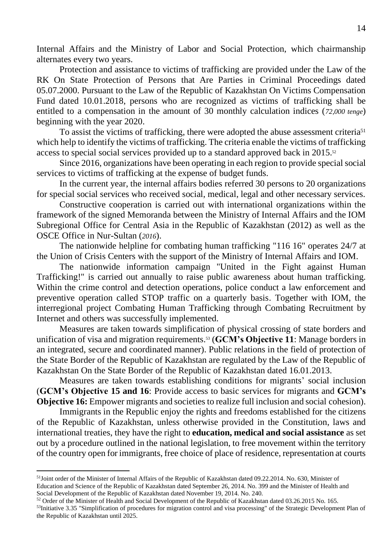Internal Affairs and the Ministry of Labor and Social Protection, which chairmanship alternates every two years.

Protection and assistance to victims of trafficking are provided under [the Law](http://adilet.zan.kz/rus/docs/Z000000072_#z1) of the RK On State Protection of Persons that Are Parties in Criminal Proceedings dated 05.07.2000. Pursuant to the Law of the Republic of Kazakhstan On Victims Compensation Fund dated 10.01.2018, persons who are recognized as victims of trafficking shall be entitled to a compensation in the amount of 30 monthly calculation indices (*72,000 tenge*) beginning with the year 2020.

To assist the victims of trafficking, there were adopted the abuse assessment criteria<sup>51</sup> which help to identify the victims of trafficking. The criteria enable the victims of trafficking access to special social services provided up to a standard approved back in 2015.<sup>52</sup>

Since 2016, organizations have been operating in each region to provide special social services to victims of trafficking at the expense of budget funds.

In the current year, the internal affairs bodies referred 30 persons to 20 organizations for special social services who received social, medical, legal and other necessary services.

Constructive cooperation is carried out with international organizations within the framework of the signed Memoranda between the Ministry of Internal Affairs and the IOM Subregional Office for Central Asia in the Republic of Kazakhstan (2012) as well as the OSCE Office in Nur-Sultan (*2016*).

The nationwide helpline for combating human trafficking "116 16" operates 24/7 at the Union of Crisis Centers with the support of the Ministry of Internal Affairs and IOM.

The nationwide information campaign "United in the Fight against Human Trafficking!" is carried out annually to raise public awareness about human trafficking. Within the crime control and detection operations, police conduct a law enforcement and preventive operation called STOP traffic on a quarterly basis. Together with IOM, the interregional project Combating Human Trafficking through Combating Recruitment by Internet and others was successfully implemented.

Measures are taken towards simplification of physical crossing of state borders and unification of visa and migration requirements. <sup>53</sup> (**GCM's Objective 11**: Manage borders in an integrated, secure and coordinated manner). Public relations in the field of protection of the State Border of the Republic of Kazakhstan are regulated by the Law of the Republic of Kazakhstan On the State Border of the Republic of Kazakhstan dated 16.01.2013.

Measures are taken towards establishing conditions for migrants' social inclusion (**GCM's Objective 15 and 16**: Provide access to basic services for migrants and **GCM's Objective 16:** Empower migrants and societies to realize full inclusion and social cohesion).

Immigrants in the Republic enjoy the rights and freedoms established for the citizens of the Republic of Kazakhstan, unless otherwise provided in [the Constitution,](https://online.zakon.kz/document/?doc_id=1005029) laws and international treaties, they have the right to **education, medical and social assistance** as set out by a procedure outlined in the national legislation, to free movement within the territory of the country open for immigrants, free choice of place of residence, representation at courts

 $51$ Joint order of the Minister of Internal Affairs of the Republic of Kazakhstan dated 09.22.2014. No. 630, Minister of Education and Science of the Republic of Kazakhstan dated September 26, 2014. No. 399 and the Minister of Health and Social Development of the Republic of Kazakhstan dated November 19, 2014. No. 240.

<sup>&</sup>lt;sup>52</sup> Order of the Minister of Health and Social Development of the Republic of Kazakhstan dated 03.26.2015 No. 165.

<sup>53</sup>Initiative 3.35 "Simplification of procedures for migration control and visa processing" of the Strategic Development Plan of the Republic of Kazakhstan until 2025.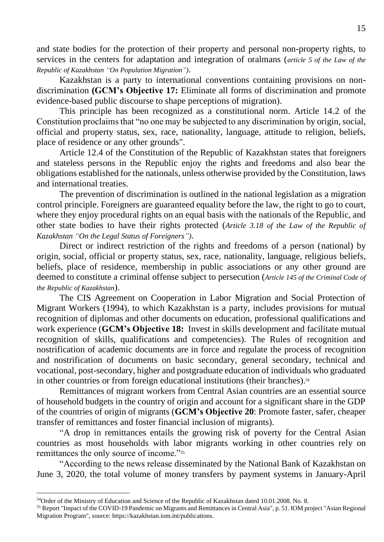and state bodies for the protection of their property and personal non-property rights, to services in the centers for adaptation and integration of oralmans (*article 5 of the Law of the Republic of Kazakhstan "On Population Migration")*.

Kazakhstan is a party to international conventions containing provisions on nondiscrimination **(GCM's Objective 17:** Eliminate all forms of discrimination and promote evidence-based public discourse to shape perceptions of migration).

This principle has been recognized as a constitutional norm. Article 14.2 of the Constitution proclaims that "no one may be subjected to any discrimination by origin, social, official and property status, sex, race, nationality, language, attitude to religion, beliefs, place of residence or any other grounds".

Article 12.4 of the Constitution of the Republic of Kazakhstan states that foreigners and stateless persons in the Republic enjoy the rights and freedoms and also bear the obligations established for the nationals, unless otherwise provided by the Constitution, laws and international treaties.

The prevention of discrimination is outlined in the national legislation as a migration control principle. Foreigners are guaranteed equality before the law, the right to go to court, where they enjoy procedural rights on an equal basis with the nationals of the Republic, and other state bodies to have their rights protected (*Article 3.18 of the Law of the Republic of Kazakhstan "On the Legal Status of Foreigners")*.

Direct or indirect restriction of the rights and freedoms of a person (national) by origin, social, official or property status, sex, race, nationality, language, religious beliefs, beliefs, place of residence, membership in public associations or any other ground are deemed to constitute a criminal offense subject to persecution (*Article 145 of the Criminal Code of the Republic of Kazakhstan*).

The CIS Agreement on Cooperation in Labor Migration and Social Protection of Migrant Workers (1994), to which Kazakhstan is a party, includes provisions for mutual recognition of diplomas and other documents on education, professional qualifications and work experience (**GCM's Objective 18:** Invest in skills development and facilitate mutual recognition of skills, qualifications and competencies). The Rules of recognition and nostrification of academic documents are in force and regulate the process of recognition and nostrification of documents on basic secondary, general secondary, technical and vocational, post-secondary, higher and postgraduate education of individuals who graduated in other countries or from foreign educational institutions (their branches). 54

Remittances of migrant workers from Central Asian countries are an essential source of household budgets in the country of origin and account for a significant share in the GDP of the countries of origin of migrants (**GCM's Objective 20**: Promote faster, safer, cheaper transfer of remittances and foster financial inclusion of migrants).

"A drop in remittances entails the growing risk of poverty for the Central Asian countries as most households with labor migrants working in other countries rely on remittances the only source of income."<sup>55</sup>

"According to the news release disseminated by the National Bank of Kazakhstan on June 3, 2020, the total volume of money transfers by payment systems in January-April

<sup>54</sup>Order of the Ministry of Education and Science of the Republic of Kazakhstan dated 10.01.2008. No. 8.

<sup>55</sup> Report "Impact of the COVID-19 Pandemic on Migrants and Remittances in Central Asia", p. 51. IOM project "Asian Regional Migration Program", source: https://kazakhstan.iom.int/publications.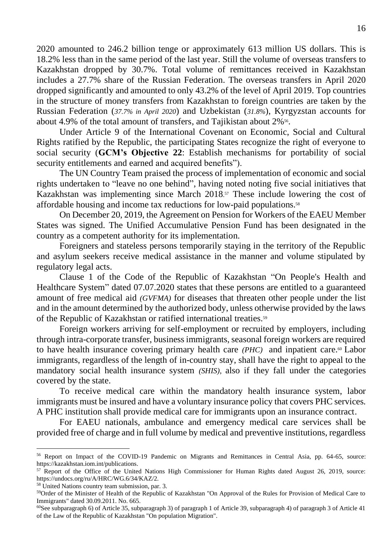2020 amounted to 246.2 billion tenge or approximately 613 million US dollars. This is 18.2% less than in the same period of the last year. Still the volume of overseas transfers to Kazakhstan dropped by 30.7%. Total volume of remittances received in Kazakhstan includes a 27.7% share of the Russian Federation. The overseas transfers in April 2020 dropped significantly and amounted to only 43.2% of the level of April 2019. Top countries in the structure of money transfers from Kazakhstan to foreign countries are taken by the Russian Federation (*37.7% in April 2020*) and Uzbekistan (*31.8%*), Kyrgyzstan accounts for about 4.9% of the total amount of transfers, and Tajikistan about 2%<sup>56</sup>.

Under Article 9 of the International Covenant on Economic, Social and Cultural Rights ratified by the Republic, the participating States recognize the right of everyone to social security (**GCM's Objective 22**: Establish mechanisms for portability of social security entitlements and earned and acquired benefits").

The UN Country Team praised the process of implementation of economic and social rights undertaken to "leave no one behind", having noted noting five social initiatives that Kazakhstan was implementing since March 2018. <sup>57</sup> These include lowering the cost of affordable housing and income tax reductions for low-paid populations.<sup>58</sup>

On December 20, 2019, the Agreement on Pension for Workers of the EAEU Member States was signed. The Unified Accumulative Pension Fund has been designated in the country as a competent authority for its implementation.

Foreigners and stateless persons temporarily staying in the territory of the Republic and asylum seekers receive medical assistance in the manner and volume stipulated by regulatory legal acts.

Clause 1 of the Code of the Republic of Kazakhstan "On People's Health and Healthcare System" dated 07.07.2020 states that these persons are entitled to a guaranteed amount of free medical aid *(GVFMA)* for diseases that threaten other people under the list and in the amount determined by the authorized body, unless otherwise provided by the laws of the Republic of Kazakhstan or ratified international treaties.<sup>59</sup>

Foreign workers arriving for self-employment or recruited by employers, including through intra-corporate transfer, business immigrants, seasonal foreign workers are required to have health insurance covering primary health care *(PHC)* and inpatient care.<sup>60</sup> Labor immigrants, regardless of the length of in-country stay, shall have the right to appeal to the mandatory social health insurance system *(SHIS),* also if they fall under the categories covered by the state.

To receive medical care within the mandatory health insurance system, labor immigrants must be insured and have a voluntary insurance policy that covers PHC services. A PHC institution shall provide medical care for immigrants upon an insurance contract.

For EAEU nationals, ambulance and emergency medical care services shall be provided free of charge and in full volume by medical and preventive institutions, regardless

<sup>56</sup> Report on Impact of the COVID-19 Pandemic on Migrants and Remittances in Central Asia, pp. 64-65, source: https://kazakhstan.iom.int/publications.

<sup>57</sup> Report of the Office of the United Nations High Commissioner for Human Rights dated August 26, 2019, source: https://undocs.org/ru/A/HRC/WG.6/34/KAZ/2.

<sup>58</sup> United Nations country team submission, par. 3.

<sup>59</sup>Order of the Minister of Health of the Republic of Kazakhstan "On Approval of the Rules for Provision of Medical Care to Immigrants" dated 30.09.2011. No. 665.

<sup>60</sup>See subparagraph 6) of Article 35, subparagraph 3) of paragraph 1 of Article 39, subparagraph 4) of paragraph 3 of Article 41 of the Law of the Republic of Kazakhstan "On population Migration".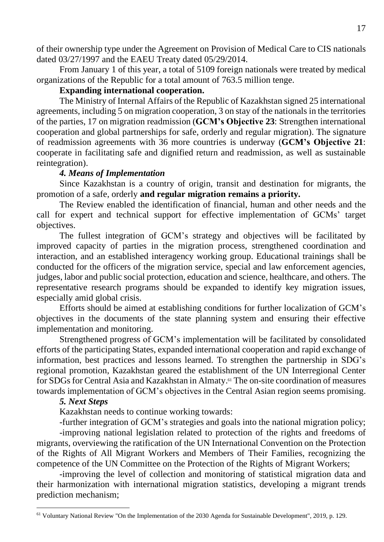of their ownership type under the Agreement on Provision of Medical Care to CIS nationals dated 03/27/1997 and the EAEU Treaty dated 05/29/2014.

From January 1 of this year, a total of 5109 foreign nationals were treated by medical organizations of the Republic for a total amount of 763.5 million tenge.

# **Expanding international cooperation.**

The Ministry of Internal Affairs of the Republic of Kazakhstan signed 25 international agreements, including 5 on migration cooperation, 3 on stay of the nationals in the territories of the parties, 17 on migration readmission (**GCM's Objective 23**: Strengthen international cooperation and global partnerships for safe, orderly and regular migration). The signature of readmission agreements with 36 more countries is underway (**GCM's Objective 21**: cooperate in facilitating safe and dignified return and readmission, as well as sustainable reintegration).

## *4. Means of Implementation*

Since Kazakhstan is a country of origin, transit and destination for migrants, the promotion of a safe, orderly **and regular migration remains a priority.**

The Review enabled the identification of financial, human and other needs and the call for expert and technical support for effective implementation of GCMs' target objectives.

The fullest integration of GCM's strategy and objectives will be facilitated by improved capacity of parties in the migration process, strengthened coordination and interaction, and an established interagency working group. Educational trainings shall be conducted for the officers of the migration service, special and law enforcement agencies, judges, labor and public social protection, education and science, healthcare, and others. The representative research programs should be expanded to identify key migration issues, especially amid global crisis.

Efforts should be aimed at establishing conditions for further localization of GCM's objectives in the documents of the state planning system and ensuring their effective implementation and monitoring.

Strengthened progress of GCM's implementation will be facilitated by consolidated efforts of the participating States, expanded international cooperation and rapid exchange of information, best practices and lessons learned. To strengthen the partnership in SDG's regional promotion, Kazakhstan geared the establishment of the UN Interregional Center for SDGs for Central Asia and Kazakhstan in Almaty. <sup>61</sup> The on-site coordination of measures towards implementation of GCM's objectives in the Central Asian region seems promising.

### *5. Next Steps*

Kazakhstan needs to continue working towards:

-further integration of GCM's strategies and goals into the national migration policy;

-improving national legislation related to protection of the rights and freedoms of migrants, overviewing the ratification of the UN International Convention on the Protection of the Rights of All Migrant Workers and Members of Their Families, recognizing the competence of the UN Committee on the Protection of the Rights of Migrant Workers;

-improving the level of collection and monitoring of statistical migration data and their harmonization with international migration statistics, developing a migrant trends prediction mechanism;

<sup>61</sup> Voluntary National Review "On the Implementation of the 2030 Agenda for Sustainable Development", 2019, p. 129.